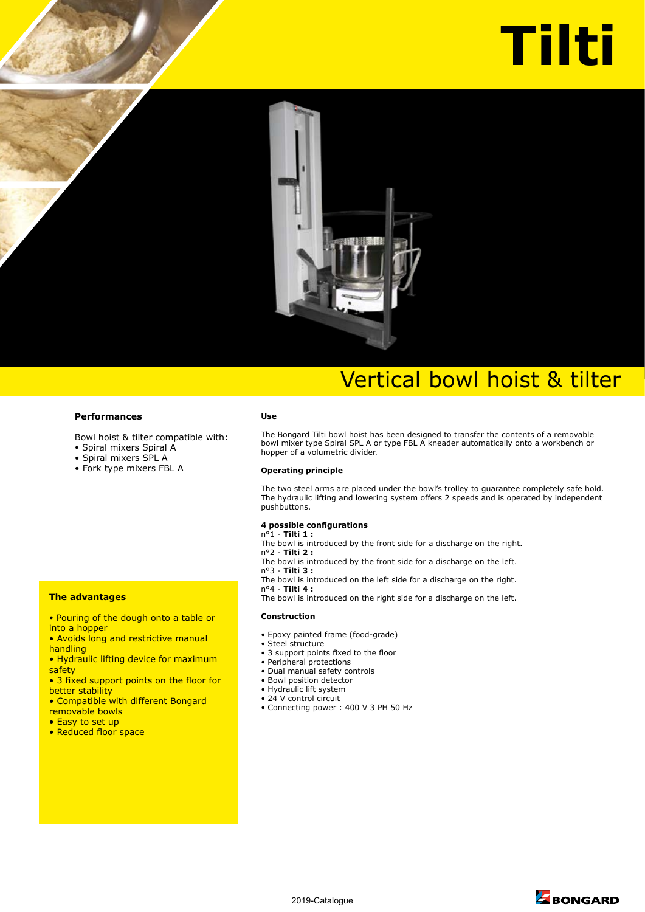# **Tilti**



## Vertical bowl hoist & tilter

#### **Performances**

Bowl hoist & tilter compatible with:

- Spiral mixers Spiral A
- Spiral mixers SPL A
- Fork type mixers FBL A

#### **Use**

The Bongard Tilti bowl hoist has been designed to transfer the contents of a removable bowl mixer type Spiral SPL A or type FBL A kneader automatically onto a workbench or hopper of a volumetric divider.

#### **Operating principle**

The two steel arms are placed under the bowl's trolley to guarantee completely safe hold. The hydraulic lifting and lowering system offers 2 speeds and is operated by independent pushbuttons.

#### **4 possible configurations**

n°1 - **Tilti 1 :**

- The bowl is introduced by the front side for a discharge on the right.
- n°2 **Tilti 2 :**
- The bowl is introduced by the front side for a discharge on the left.
- n°3 **Tilti 3 :**
- The bowl is introduced on the left side for a discharge on the right. n°4 - **Tilti 4 :**

The bowl is introduced on the right side for a discharge on the left.

#### **Construction**

- Epoxy painted frame (food-grade)
- Steel structure
- 3 support points fixed to the floor
- Peripheral protections
- Dual manual safety controls
- Bowl position detector
- Hydraulic lift system
- 24 V control circuit
- Connecting power : 400 V 3 PH 50 Hz

better stability

**The advantages**

into a hopper

handling

safety

• Compatible with different Bongard removable bowls

• Pouring of the dough onto a table or

• Avoids long and restrictive manual

• Hydraulic lifting device for maximum

• 3 fixed support points on the floor for

- Easy to set up
- Reduced floor space